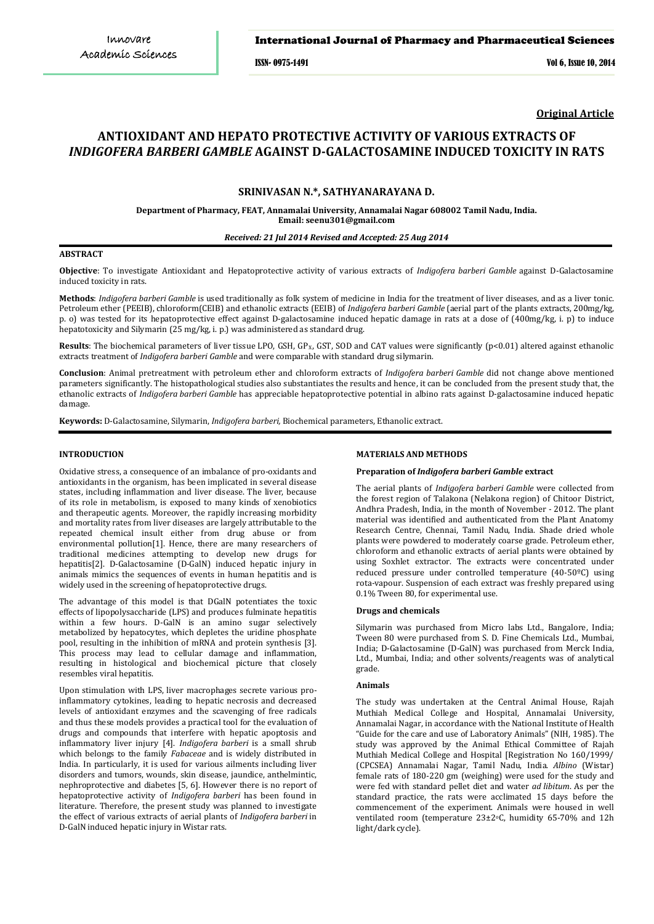## International Journal of Pharmacy and Pharmaceutical Sciences

ISSN- 0975-1491 Vol 6, Issue 10, 2014

**Original Article**

# **ANTIOXIDANT AND HEPATO PROTECTIVE ACTIVITY OF VARIOUS EXTRACTS OF** *INDIGOFERA BARBERI GAMBLE* **AGAINST D-GALACTOSAMINE INDUCED TOXICITY IN RATS**

# **SRINIVASAN N.\*, SATHYANARAYANA D.**

**Department of Pharmacy, FEAT, Annamalai University, Annamalai Nagar 608002 Tamil Nadu, India. Email: seenu301@gmail.com**

*Received: 21 Jul 2014 Revised and Accepted: 25 Aug 2014*

#### **ABSTRACT**

**Objective**: To investigate Antioxidant and Hepatoprotective activity of various extracts of *Indigofera barberi Gamble* against D-Galactosamine induced toxicity in rats.

**Methods**: *Indigofera barberi Gamble* is used traditionally as folk system of medicine in India for the treatment of liver diseases, and as a liver tonic. Petroleum ether (PEEIB), chloroform(CEIB) and ethanolic extracts (EEIB) of *Indigofera barberi Gamble* (aerial part of the plants extracts, 200mg/kg, p. o) was tested for its hepatoprotective effect against D-galactosamine induced hepatic damage in rats at a dose of (400mg/kg, i. p) to induce hepatotoxicity and Silymarin (25 mg/kg, i. p.) was administered as standard drug.

**Results**: The biochemical parameters of liver tissue LPO, GSH, GP<sub>x</sub>, GST, SOD and CAT values were significantly (p<0.01) altered against ethanolic extracts treatment of *Indigofera barberi Gamble* and were comparable with standard drug silymarin*.* 

**Conclusion**: Animal pretreatment with petroleum ether and chloroform extracts of *Indigofera barberi Gamble* did not change above mentioned parameters significantly. The histopathological studies also substantiates the results and hence, it can be concluded from the present study that, the ethanolic extracts of *Indigofera barberi Gamble* has appreciable hepatoprotective potential in albino rats against D-galactosamine induced hepatic damage.

**Keywords:** D-Galactosamine, Silymarin, *Indigofera barberi,* Biochemical parameters, Ethanolic extract.

# **INTRODUCTION**

Oxidative stress, a consequence of an imbalance of pro-oxidants and antioxidants in the organism, has been implicated in several disease states, including inflammation and liver disease. The liver, because of its role in metabolism, is exposed to many kinds of xenobiotics and therapeutic agents. Moreover, the rapidly increasing morbidity and mortality rates from liver diseases are largely attributable to the repeated chemical insult either from drug abuse or from environmental pollution[1]. Hence, there are many researchers of traditional medicines attempting to develop new drugs for hepatitis[2]. D-Galactosamine (D-GalN) induced hepatic injury in animals mimics the sequences of events in human hepatitis and is widely used in the screening of hepatoprotective drugs.

The advantage of this model is that DGalN potentiates the toxic effects of lipopolysaccharide (LPS) and produces fulminate hepatitis within a few hours. D-GalN is an amino sugar selectively metabolized by hepatocytes, which depletes the uridine phosphate pool, resulting in the inhibition of mRNA and protein synthesis [3]. This process may lead to cellular damage and inflammation, resulting in histological and biochemical picture that closely resembles viral hepatitis.

Upon stimulation with LPS, liver macrophages secrete various proinflammatory cytokines, leading to hepatic necrosis and decreased levels of antioxidant enzymes and the scavenging of free radicals and thus these models provides a practical tool for the evaluation of drugs and compounds that interfere with hepatic apoptosis and inflammatory liver injury [4]. *Indigofera barberi* is a small shrub which belongs to the family *Fabaceae* and is widely distributed in India. In particularly, it is used for various ailments including liver disorders and tumors, wounds, skin disease, jaundice, anthelmintic, nephroprotective and diabetes [5, 6]. However there is no report of hepatoprotective activity of *Indigofera barberi* has been found in literature. Therefore, the present study was planned to investigate the effect of various extracts of aerial plants of *Indigofera barberi* in D-GalN induced hepatic injury in Wistar rats.

# **MATERIALS AND METHODS**

#### **Preparation of** *Indigofera barberi Gamble* **extract**

The aerial plants of *Indigofera barberi Gamble* were collected from the forest region of Talakona (Nelakona region) of Chitoor District, Andhra Pradesh, India, in the month of November - 2012. The plant material was identified and authenticated from the Plant Anatomy Research Centre, Chennai, Tamil Nadu, India. Shade dried whole plants were powdered to moderately coarse grade. Petroleum ether, chloroform and ethanolic extracts of aerial plants were obtained by using Soxhlet extractor. The extracts were concentrated under reduced pressure under controlled temperature (40-50ºC) using rota-vapour. Suspension of each extract was freshly prepared using 0.1% Tween 80, for experimental use.

#### **Drugs and chemicals**

Silymarin was purchased from Micro labs Ltd., Bangalore, India; Tween 80 were purchased from S. D. Fine Chemicals Ltd., Mumbai, India; D-Galactosamine (D-GalN) was purchased from Merck India, Ltd., Mumbai, India; and other solvents/reagents was of analytical grade.

#### **Animals**

The study was undertaken at the Central Animal House, Rajah Muthiah Medical College and Hospital, Annamalai University, Annamalai Nagar, in accordance with the National Institute of Health "Guide for the care and use of Laboratory Animals" (NIH, 1985). The study was approved by the Animal Ethical Committee of Rajah Muthiah Medical College and Hospital [Registration No 160/1999/ (CPCSEA) Annamalai Nagar, Tamil Nadu, India. *Albino* (Wistar) female rats of 180-220 gm (weighing) were used for the study and were fed with standard pellet diet and water *ad libitum*. As per the standard practice, the rats were acclimated 15 days before the commencement of the experiment. Animals were housed in well ventilated room (temperature 23±2 oC, humidity 65-70% and 12h light/dark cycle).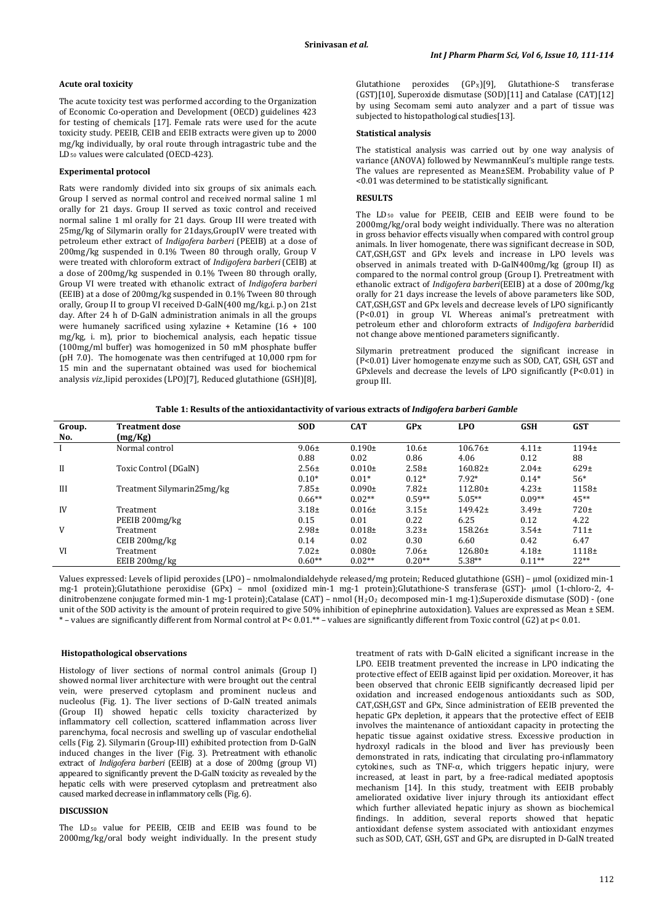## **Acute oral toxicity**

The acute toxicity test was performed according to the Organization of Economic Co-operation and Development (OECD) guidelines 423 for testing of chemicals [\[17](http://www.hindawi.com/journals/bmri/2013/182064/#B14)]. Female rats were used for the acute toxicity study. PEEIB, CEIB and EEIB extracts were given up to 2000 mg/kg individually, by oral route through intragastric tube and the LD50 values were calculated (OECD-423).

#### **Experimental protocol**

Rats were randomly divided into six groups of six animals each. Group I served as normal control and received normal saline 1 ml orally for 21 days. Group II served as toxic control and received normal saline 1 ml orally for 21 days. Group III were treated with 25mg/kg of Silymarin orally for 21days,GroupIV were treated with petroleum ether extract of *Indigofera barberi* (PEEIB) at a dose of 200mg/kg suspended in 0.1% Tween 80 through orally, Group V were treated with chloroform extract of *Indigofera barberi* (CEIB) at a dose of 200mg/kg suspended in 0.1% Tween 80 through orally, Group VI were treated with ethanolic extract of *Indigofera barberi* (EEIB) at a dose of 200mg/kg suspended in 0.1% Tween 80 through orally, Group II to group VI received D-GalN(400 mg/kg,i. p.) on 21st day. After 24 h of D-GalN administration animals in all the groups were humanely sacrificed using xylazine + Ketamine (16 + 100 mg/kg, i. m), prior to biochemical analysis, each hepatic tissue (100mg/ml buffer) was homogenized in 50 mM phosphate buffer (pH 7.0). The homogenate was then centrifuged at 10,000 rpm for 15 min and the supernatant obtained was used for biochemical analysis *viz.,*lipid peroxides (LPO)[7], Reduced glutathione (GSH)[8],

Glutathione peroxides (GP X )[9], Glutathione-S transferase (GST)[10], Superoxide dismutase (SOD)[11] and Catalase (CAT)[12] by using Secomam semi auto analyzer and a part of tissue was subjected to histopathological studies[13].

## **Statistical analysis**

The statistical analysis was carried out by one way analysis of variance (ANOVA) followed by NewmannKeul's multiple range tests. The values are represented as Mean±SEM. Probability value of P <0.01 was determined to be statistically significant.

# **RESULTS**

The LD50 value for PEEIB, CEIB and EEIB were found to be 2000mg/kg/oral body weight individually. There was no alteration in gross behavior effects visually when compared with control group animals. In liver homogenate, there was significant decrease in SOD, CAT,GSH,GST and GPx levels and increase in LPO levels was observed in animals treated with D-GalN400mg/kg (group II) as compared to the normal control group (Group I). Pretreatment with ethanolic extract of *Indigofera barberi*(EEIB) at a dose of 200mg/kg orally for 21 days increase the levels of above parameters like SOD, CAT,GSH,GST and GPx levels and decrease levels of LPO significantly (P<0.01) in group VI. Whereas animal's pretreatment with petroleum ether and chloroform extracts of *Indigofera barberi*did not change above mentioned parameters significantly.

Silymarin pretreatment produced the significant increase in (P<0.01) Liver homogenate enzyme such as SOD, CAT, GSH, GST and GPxlevels and decrease the levels of LPO significantly (P<0.01) in group III.

| Table 1: Results of the antioxidant activity of various extracts of <i>Indigofera barberi Gamble</i> |  |
|------------------------------------------------------------------------------------------------------|--|
|                                                                                                      |  |

| Group.<br>No. | <b>Treatment dose</b><br>(mg/Kg) | <b>SOD</b> | <b>CAT</b>  | <b>GPx</b>        | <b>LPO</b>   | <b>GSH</b> | <b>GST</b>       |
|---------------|----------------------------------|------------|-------------|-------------------|--------------|------------|------------------|
|               | Normal control                   | $9.06 \pm$ | $0.190 \pm$ | 10.6 <sub>±</sub> | $106.76\pm$  | $4.11 \pm$ | $1194+$          |
|               |                                  | 0.88       | 0.02        | 0.86              | 4.06         | 0.12       | 88               |
| $\mathbf{I}$  | Toxic Control (DGalN)            | $2.56 \pm$ | $0.010\pm$  | $2.58 +$          | $160.82\pm$  | $2.04 \pm$ | 629 <sub>±</sub> |
|               |                                  | $0.10*$    | $0.01*$     | $0.12*$           | $7.92*$      | $0.14*$    | $56*$            |
| III           | Treatment Silymarin25mg/kg       | $7.85 \pm$ | $0.090\pm$  | $7.82+$           | $112.80 \pm$ | $4.23 \pm$ | $1158+$          |
|               |                                  | $0.66**$   | $0.02**$    | $0.59**$          | $5.05**$     | $0.09**$   | $45**$           |
| IV            | Treatment                        | $3.18+$    | $0.016\pm$  | $3.15+$           | $149.42 \pm$ | $3.49 \pm$ | $720 \pm$        |
|               | PEEIB 200mg/kg                   | 0.15       | 0.01        | 0.22              | 6.25         | 0.12       | 4.22             |
| V             | Treatment                        | $2.98 +$   | $0.018\pm$  | $3.23 \pm$        | $158.26 \pm$ | $3.54 \pm$ | $711\pm$         |
|               | CEIB 200mg/kg                    | 0.14       | 0.02        | 0.30              | 6.60         | 0.42       | 6.47             |
| VI            | Treatment                        | $7.02 \pm$ | $0.080 \pm$ | $7.06 \pm$        | $126.80 \pm$ | $4.18+$    | $1118+$          |
|               | EEIB 200mg/kg                    | $0.60**$   | $0.02**$    | $0.20**$          | $5.38**$     | $0.11**$   | $22**$           |

Values expressed: Levels of lipid peroxides (LPO) – nmolmalondialdehyde released/mg protein; Reduced glutathione (GSH) – μmol (oxidized min-1 mg-1 protein);Glutathione peroxidise (GPx) – nmol (oxidized min-1 mg-1 protein);Glutathione-S transferase (GST)- μmol (1-chloro-2, 4 dinitrobenzene conjugate formed min-1 mg-1 protein);Catalase (CAT) – nmol (H2O2 decomposed min-1 mg-1);Superoxide dismutase (SOD) - (one unit of the SOD activity is the amount of protein required to give 50% inhibition of epinephrine autoxidation). Values are expressed as Mean ± SEM. \* – values are significantly different from Normal control at P< 0.01.\*\* – values are significantly different from Toxic control (G2) at p< 0.01.

#### **Histopathological observations**

Histology of liver sections of normal control animals (Group I) showed normal liver architecture with were brought out the central vein, were preserved cytoplasm and prominent nucleus and nucleolus (Fig. 1). The liver sections of D-GalN treated animals (Group II) showed hepatic cells toxicity characterized by inflammatory cell collection, scattered inflammation across liver parenchyma, focal necrosis and swelling up of vascular endothelial cells (Fig. 2). Silymarin (Group-III) exhibited protection from D-GalN induced changes in the liver (Fig. 3). Pretreatment with ethanolic extract of *Indigofera barberi* (EEIB) at a dose of 200mg (group VI) appeared to significantly prevent the D-GalN toxicity as revealed by the hepatic cells with were preserved cytoplasm and pretreatment also caused marked decrease in inflammatory cells (Fig. 6).

# **DISCUSSION**

The  $LD_{50}$  value for PEEIB, CEIB and EEIB was found to be 2000mg/kg/oral body weight individually. In the present study

treatment of rats with D-GalN elicited a significant increase in the LPO. EEIB treatment prevented the increase in LPO indicating the protective effect of EEIB against lipid per oxidation. Moreover, it has been observed that chronic EEIB significantly decreased lipid per oxidation and increased endogenous antioxidants such as SOD, CAT,GSH,GST and GPx, Since administration of EEIB prevented the hepatic GPx depletion, it appears that the protective effect of EEIB involves the maintenance of antioxidant capacity in protecting the hepatic tissue against oxidative stress. Excessive production in hydroxyl radicals in the blood and liver has previously been demonstrated in rats, indicating that circulating pro-inflammatory cytokines, such as TNF-α, which triggers hepatic injury, were increased, at least in part, by a free-radical mediated apoptosis mechanism [14]. In this study, treatment with EEIB probably ameliorated oxidative liver injury through its antioxidant effect which further alleviated hepatic injury as shown as biochemical findings. In addition, several reports showed that hepatic antioxidant defense system associated with antioxidant enzymes such as SOD, CAT, GSH, GST and GPx, are disrupted in D-GalN treated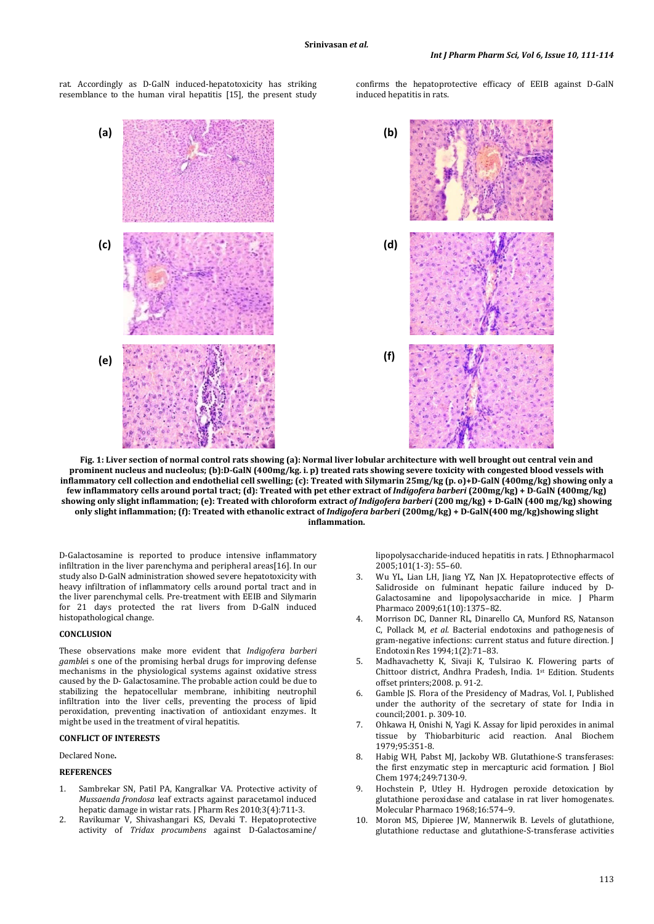rat. Accordingly as D-GalN induced-hepatotoxicity has striking resemblance to the human viral hepatitis [15], the present study

confirms the hepatoprotective efficacy of EEIB against D-GalN induced hepatitis in rats.



**Fig. 1: Liver section of normal control rats showing (a): Normal liver lobular architecture with well brought out central vein and prominent nucleus and nucleolus; (b):D-GalN (400mg/kg. i. p) treated rats showing severe toxicity with congested blood vessels with inflammatory cell collection and endothelial cell swelling; (c): Treated with Silymarin 25mg/kg (p. o)+D-GalN (400mg/kg) showing only a few inflammatory cells around portal tract; (d): Treated with pet ether extract of** *Indigofera barberi* **(200mg/kg) + D-GalN (400mg/kg) showing only slight inflammation; (e): Treated with chloroform extract** *of Indigofera barberi* **(200 mg/kg) + D-GalN (400 mg/kg) showing only slight inflammation; (f): Treated with ethanolic extract of** *Indigofera barberi* **(200mg/kg) + D-GalN(400 mg/kg)showing slight inflammation.**

D-Galactosamine is reported to produce intensive inflammatory infiltration in the liver parenchyma and peripheral areas[16]. In our study also D-GalN administration showed severe hepatotoxicity with heavy infiltration of inflammatory cells around portal tract and in the liver parenchymal cells. Pre-treatment with EEIB and Silymarin for 21 days protected the rat livers from D-GalN induced histopathological change.

#### **CONCLUSION**

These observations make more evident that *Indigofera barberi gamble*i s one of the promising herbal drugs for improving defense mechanisms in the physiological systems against oxidative stress caused by the D- Galactosamine. The probable action could be due to stabilizing the hepatocellular membrane, inhibiting neutrophil infiltration into the liver cells, preventing the process of lipid peroxidation, preventing inactivation of antioxidant enzymes. It might be used in the treatment of viral hepatitis.

# **CONFLICT OF INTERESTS**

Declared None**.**

#### **REFERENCES**

- 1. Sambrekar SN, Patil PA, Kangralkar VA. Protective activity of *Mussaenda frondosa* leaf extracts against paracetamol induced hepatic damage in wistar rats. J Pharm Res 2010;3(4):711-3.
- 2. Ravikumar V, Shivashangari KS, Devaki T. Hepatoprotective activity of *Tridax procumbens* against D-Galactosamine/

lipopolysaccharide-induced hepatitis in rats. J Ethnopharmacol 2005;101(1-3): 55–60.

- 3. Wu YL, Lian LH, Jiang YZ, Nan JX. Hepatoprotective effects of Salidroside on fulminant hepatic failure induced by D-Galactosamine and lipopolysaccharide in mice. J Pharm Pharmaco 2009;61(10):1375–82.
- 4. Morrison DC, Danner RL, Dinarello CA, Munford RS, Natanson C, Pollack M, *et al*. Bacterial endotoxins and pathogenesis of gram-negative infections: current status and future direction. J Endotoxin Res 1994;1(2):71–83.
- 5. Madhavachetty K, Sivaji K, Tulsirao K. Flowering parts of Chittoor district, Andhra Pradesh, India. 1st Edition. Students offset printers;2008. p. 91-2.
- 6. Gamble JS. Flora of the Presidency of Madras, Vol. I, Published under the authority of the secretary of state for India in council;2001. p. 309-10.
- 7. Ohkawa H, Onishi N, Yagi K. Assay for lipid peroxides in animal tissue by Thiobarbituric acid reaction. Anal Biochem 1979;95:351-8.
- 8. Habig WH, Pabst MJ, Jackoby WB. Glutathione-S transferases: the first enzymatic step in mercapturic acid formation. J Biol Chem 1974;249:7130-9.
- 9. Hochstein P, Utley H. Hydrogen peroxide detoxication by glutathione peroxidase and catalase in rat liver homogenates. Molecular Pharmaco 1968;16:574–9.
- 10. Moron MS, Dipieree JW, Mannerwik B. Levels of glutathione, glutathione reductase and glutathione-S-transferase activities